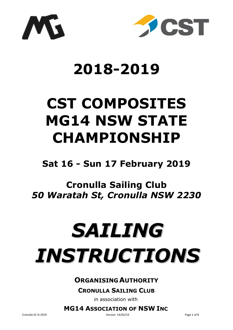



## **2018-2019**

# **CST COMPOSITES MG14 NSW STATE CHAMPIONSHIP**

## **Sat 16 - Sun 17 February 2019**

## **Cronulla Sailing Club**  *50 Waratah St, Cronulla NSW 2230*

# *SAILING INSTRUCTIONS*

## **ORGANISING AUTHORITY**

### **CRONULLA SAILING CLUB**

in association with

**MG14 ASSOCIATION OF NSW INC**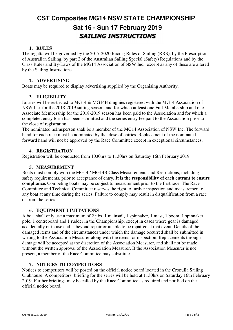## **CST Composites MG14 NSW STATE CHAMPIONSHIP Sat 16 - Sun 17 February 2019**  *SAILING INSTRUCTIONS*

#### **1. RULES**

The regatta will be governed by the 2017-2020 Racing Rules of Sailing (RRS), by the Prescriptions of Australian Sailing, by part 2 of the Australian Sailing Special (Safety) Regulations and by the Class Rules and By-Laws of the MG14 Association of NSW Inc., except as any of these are altered by the Sailing Instructions

#### **2. ADVERTISING**

Boats may be required to display advertising supplied by the Organising Authority.

#### **3. ELIGIBILITY**

Entries will be restricted to MG14 & MG14B dinghies registered with the MG14 Association of NSW Inc. for the 2018-2019 sailing season, and for which at least one Full Membership and one Associate Membership for the 2018-2019 season has been paid to the Association and for which a completed entry form has been submitted and the series entry fee paid to the Association prior to the close of registration.

The nominated helmsperson shall be a member of the MG14 Association of NSW Inc. The forward hand for each race must be nominated by the close of entries. Replacement of the nominated forward hand will not be approved by the Race Committee except in exceptional circumstances.

#### **4. REGISTRATION**

Registration will be conducted from 1030hrs to 1130hrs on Saturday 16th February 2019.

#### **5. MEASUREMENT**

Boats must comply with the MG14 / MG14B Class Measurements and Restrictions, including safety requirements, prior to acceptance of entry. **It is the responsibility of each entrant to ensure compliance.** Competing boats may be subject to measurement prior to the first race. The Race Committee and Technical Committee reserves the right to further inspection and measurement of any boat at any time during the series. Failure to comply may result in disqualification from a race or from the series.

#### **6. EQUIPMENT LIMITATIONS**

A boat shall only use a maximum of 2 jibs, 1 mainsail, 1 spinnaker, 1 mast, 1 boom, 1 spinnaker pole, 1 centreboard and 1 rudder in the Championship, except in cases where gear is damaged accidentally or in use and is beyond repair or unable to be repaired at that event. Details of the damaged items and of the circumstances under which the damage occurred shall be submitted in writing to the Association Measurer along with the items for inspection. Replacements through damage will be accepted at the discretion of the Association Measurer, and shall not be made without the written approval of the Association Measurer. If the Association Measurer is not present, a member of the Race Committee may substitute.

#### **7. NOTICES TO COMPETITORS**

Notices to competitors will be posted on the official notice board located in the Cronulla Sailing Clubhouse. A competitors' briefing for the series will be held at 1130hrs on Saturday 16th February 2019. Further briefings may be called by the Race Committee as required and notified on the official notice board.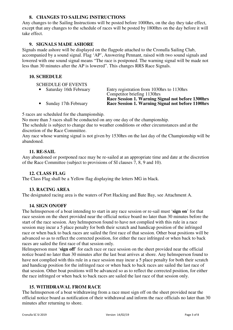#### **8. CHANGES TO SAILING INSTRUCTIONS**

Any changes to the Sailing Instructions will be posted before 1000hrs, on the day they take effect, except that any changes to the schedule of races will be posted by 1800hrs on the day before it will take effect.

#### **9. SIGNALS MADE ASHORE**

Signals made ashore will be displayed on the flagpole attached to the Cronulla Sailing Club, accompanied by a sound signal. Flag 'AP', Answering Pennant, raised with two sound signals and lowered with one sound signal means "The race is postponed. The warning signal will be made not less than 30 minutes after the AP is lowered". This changes RRS Race Signals.

#### **10. SCHEDULE**

SCHEDULE OF EVENTS

• Saturday 16th February Entry registration from 1030hrs to 1130hrs Competitor briefing 1130hrs **Race Session 1. Warning Signal not before 1300hrs**<br>Race Session 1. Warning Signal not before 1100hrs • Sunday 17th February **Race Session 1. Warning Signal not before 1100hrs**

5 races are scheduled for the championship.

No more than 3 races shall be conducted on any one day of the championship.

The schedule is subject to change due to weather conditions or other circumstances and at the discretion of the Race Committee.

Any race whose warning signal is not given by 1530hrs on the last day of the Championship will be abandoned.

#### **11. RE-SAIL**

Any abandoned or postponed race may be re-sailed at an appropriate time and date at the discretion of the Race Committee (subject to provisions of SI clauses 7, 8, 9 and 10).

#### **12. CLASS FLAG**

The Class Flag shall be a Yellow flag displaying the letters MG in black.

#### **13. RACING AREA**

The designated racing area is the waters of Port Hacking and Bate Bay, see Attachment A.

#### **14. SIGN ON/OFF**

The helmsperson of a boat intending to start in any race session or re-sail must '**sign on**' for that race session on the sheet provided near the official notice board no later than 30 minutes before the start of the race session. Any helmsperson found to have not complied with this rule in a race session may incur a 5 place penalty for both their scratch and handicap position of the infringed race or when back to back races are sailed the first race of that session. Other boat positions will be advanced so as to reflect the corrected position, for either the race infringed or when back to back races are sailed the first race of that session only.

Helmsperson must '**sign off**' for each race or race session on the sheet provided near the official notice board no later than 30 minutes after the last boat arrives at shore. Any helmsperson found to have not complied with this rule in a race session may incur a 5 place penalty for both their scratch and handicap position for the infringed race or when back to back races are sailed the last race of that session. Other boat positions will be advanced so as to reflect the corrected position, for either the race infringed or when back to back races are sailed the last race of that session only.

#### **15. WITHDRAWAL FROM RACE**

The helmsperson of a boat withdrawing from a race must sign off on the sheet provided near the official notice board as notification of their withdrawal and inform the race officials no later than 30 minutes after returning to shore.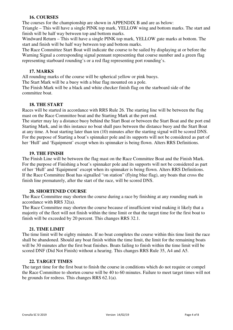#### **16. COURSES**

The courses for the championship are shown in APPENDIX B and are as below:

Triangle – This will have a single PINK top mark, YELLOW wing and bottom marks. The start and finish will be half way between top and bottom marks.

Windward Return – This will have a single PINK top mark, YELLOW gate marks at bottom. The start and finish will be half way between top and bottom marks.

The Race Committee Start Boat will indicate the course to be sailed by displaying at or before the Warning Signal a corresponding signal pennant representing that course number and a green flag representing starboard rounding's or a red flag representing port rounding's.

#### **17. MARKS**

All rounding marks of the course will be spherical yellow or pink buoys.

The Start Mark will be a buoy with a blue flag mounted on a pole.

The Finish Mark will be a black and white checker finish flag on the starboard side of the committee boat.

#### **18. THE START**

Races will be started in accordance with RRS Rule 26. The starting line will be between the flag mast on the Race Committee boat and the Starting Mark at the port end.

The starter may lay a distance buoy behind the Start Boat or between the Start Boat and the port end Starting Mark, and in this instance no boat shall pass between the distance buoy and the Start Boat at any time. A boat starting later than ten (10) minutes after the starting signal will be scored DNS. For the purpose of Starting a boat's spinnaker pole and its supports will not be considered as part of her 'Hull' and 'Equipment' except when its spinnaker is being flown. Alters RRS Definitions.

#### **19. THE FINISH**

The Finish Line will be between the flag mast on the Race Committee Boat and the Finish Mark. For the purpose of Finishing a boat's spinnaker pole and its supports will not be considered as part of her 'Hull' and 'Equipment' except when its spinnaker is being flown. Alters RRS Definitions. If the Race Committee Boat has signalled "on station" (flying blue flag), any boats that cross the finish line prematurely, after the start of the race, will be scored DNS.

#### **20. SHORTENED COURSE**

The Race Committee may shorten the course during a race by finishing at any rounding mark in accordance with RRS 32(a).

The Race Committee may shorten the course because of insufficient wind making it likely that a majority of the fleet will not finish within the time limit or that the target time for the first boat to finish will be exceeded by 20 percent. This changes RRS 32.1.

#### **21. TIME LIMIT**

The time limit will be eighty minutes. If no boat completes the course within this time limit the race shall be abandoned. Should any boat finish within the time limit, the limit for the remaining boats will be 30 minutes after the first boat finishes. Boats failing to finish within the time limit will be scored DNF (Did Not Finish) without a hearing. This changes RRS Rule 35, A4 and A5.

#### **22. TARGET TIMES**

The target time for the first boat to finish the course in conditions which do not require or compel the Race Committee to shorten course will be 40 to 60 minutes. Failure to meet target times will not be grounds for redress. This changes RRS 62.1(a).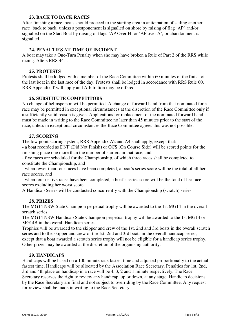#### **23. BACK TO BACK RACES**

After finishing a race, boats should proceed to the starting area in anticipation of sailing another race 'back to back' unless a postponement is signalled on shore by raising of flag 'AP' and/or signalled on the Start Boat by raising of flags 'AP Over H' or 'AP over A', or abandonment is signalled.

#### **24. PENALTIES AT TIME OF INCIDENT**

A boat may take a One-Turn Penalty when she may have broken a Rule of Part 2 of the RRS while racing. Alters RRS 44.1.

#### **25. PROTESTS**

Protests shall be lodged with a member of the Race Committee within 60 minutes of the finish of the last boat in the last race of the day. Protests shall be lodged in accordance with RRS Rule 60. RRS Appendix T will apply and Arbitration may be offered.

#### **26. SUBSTITUTE COMPETITORS**

No change of helmsperson will be permitted. A change of forward hand from that nominated for a race may be permitted in exceptional circumstances at the discretion of the Race Committee only if a sufficiently valid reason is given. Applications for replacement of the nominated forward hand must be made in writing to the Race Committee no later than 45 minutes prior to the start of the race, unless in exceptional circumstances the Race Committee agrees this was not possible.

#### **27. SCORING**

The low point scoring system, RRS Appendix A2 and A4 shall apply, except that:

- a boat recorded as DNF (Did Not Finish) or OCS (On Course Side) will be scored points for the finishing place one more than the number of starters in that race, and

- five races are scheduled for the Championship, of which three races shall be completed to constitute the Championship, and

- when fewer than four races have been completed, a boat's series score will be the total of all her race scores, and

- when four or five races have been completed, a boat's series score will be the total of her race scores excluding her worst score.

A Handicap Series will be conducted concurrently with the Championship (scratch) series.

#### **28. PRIZES**

The MG14 NSW State Champion perpetual trophy will be awarded to the 1st MG14 in the overall scratch series.

The MG14 NSW Handicap State Champion perpetual trophy will be awarded to the 1st MG14 or MG14B in the overall Handicap series.

Trophies will be awarded to the skipper and crew of the 1st, 2nd and 3rd boats in the overall scratch series and to the skipper and crew of the 1st, 2nd and 3rd boats in the overall handicap series, except that a boat awarded a scratch series trophy will not be eligible for a handicap series trophy. Other prizes may be awarded at the discretion of the organising authority.

#### **29. HANDICAPS**

Handicaps will be based on a 100 minute race fastest time and adjusted proportionally to the actual fastest time. Handicaps will be allocated by the Association Race Secretary. Penalties for 1st, 2nd, 3rd and 4th place on handicap in a race will be 4, 3, 2 and 1 minute respectively. The Race Secretary reserves the right to review any handicap, up or down, at any stage. Handicap decisions by the Race Secretary are final and not subject to overriding by the Race Committee. Any request for review shall be made in writing to the Race Secretary.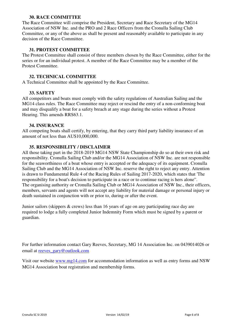#### **30. RACE COMMITTEE**

The Race Committee will comprise the President, Secretary and Race Secretary of the MG14 Association of NSW Inc. and the PRO and 2 Race Officers from the Cronulla Sailing Club Committee, or any of the above as shall be present and reasonably available to participate in any decision of the Race Committee.

#### **31. PROTEST COMMITTEE**

The Protest Committee shall consist of three members chosen by the Race Committee, either for the series or for an individual protest. A member of the Race Committee may be a member of the Protest Committee.

#### **32. TECHNICAL COMMITTEE**

A Technical Committee shall be appointed by the Race Committee.

#### **33. SAFETY**

All competitors and boats must comply with the safety regulations of Australian Sailing and the MG14 class rules. The Race Committee may reject or rescind the entry of a non-conforming boat and may disqualify a boat for a safety breach at any stage during the series without a Protest Hearing. This amends RRS63.1.

#### **34. INSURANCE**

All competing boats shall certify, by entering, that they carry third party liability insurance of an amount of not less than AU\$10,000,000.

#### **35. RESPONSIBILITY / DISCLAIMER**

All those taking part in the 2018-2019 MG14 NSW State Championship do so at their own risk and responsibility. Cronulla Sailing Club and/or the MG14 Association of NSW Inc. are not responsible for the seaworthiness of a boat whose entry is accepted or the adequacy of its equipment. Cronulla Sailing Club and the MG14 Association of NSW Inc. reserve the right to reject any entry. Attention is drawn to Fundamental Rule 4 of the Racing Rules of Sailing 2017-2020, which states that 'The responsibility for a boat's decision to participate in a race or to continue racing is hers alone". The organising authority or Cronulla Sailing Club or MG14 Association of NSW Inc., their officers, members, servants and agents will not accept any liability for material damage or personal injury or death sustained in conjunction with or prior to, during or after the event.

Junior sailors (skippers & crews) less than 16 years of age on any participating race day are required to lodge a fully completed Junior Indemnity Form which must be signed by a parent or guardian.

For further information contact Gary Reeves, Secretary, MG 14 Association Inc. on 0439014026 or email at reeves\_gary@outlook.com

Visit our website www.mg14.com for accommodation information as well as entry forms and NSW MG14 Association boat registration and membership forms.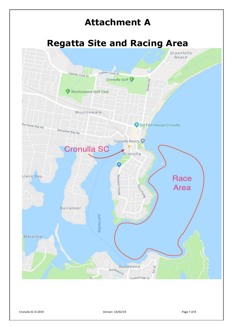

Cronulla SC SI 2019 Version 14/02/19 Page 7 of 8